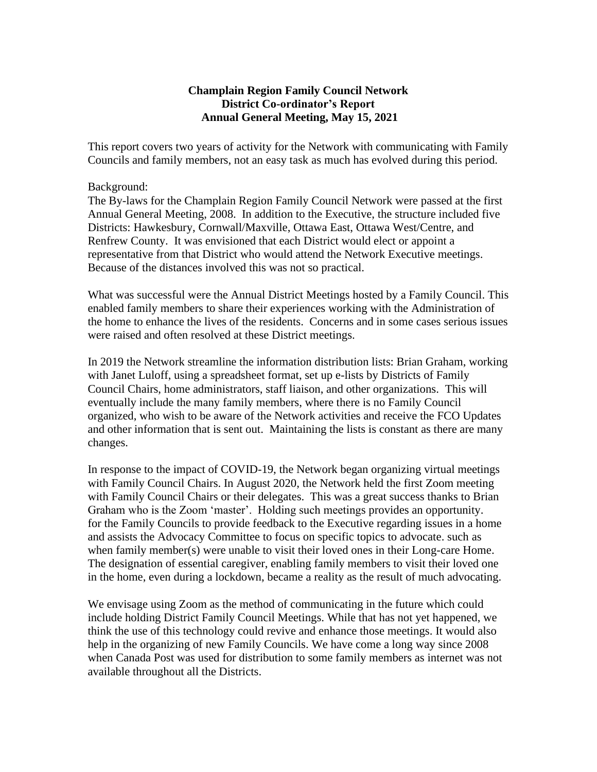## **Champlain Region Family Council Network District Co-ordinator's Report Annual General Meeting, May 15, 2021**

This report covers two years of activity for the Network with communicating with Family Councils and family members, not an easy task as much has evolved during this period.

## Background:

The By-laws for the Champlain Region Family Council Network were passed at the first Annual General Meeting, 2008. In addition to the Executive, the structure included five Districts: Hawkesbury, Cornwall/Maxville, Ottawa East, Ottawa West/Centre, and Renfrew County. It was envisioned that each District would elect or appoint a representative from that District who would attend the Network Executive meetings. Because of the distances involved this was not so practical.

What was successful were the Annual District Meetings hosted by a Family Council. This enabled family members to share their experiences working with the Administration of the home to enhance the lives of the residents. Concerns and in some cases serious issues were raised and often resolved at these District meetings.

In 2019 the Network streamline the information distribution lists: Brian Graham, working with Janet Luloff, using a spreadsheet format, set up e-lists by Districts of Family Council Chairs, home administrators, staff liaison, and other organizations. This will eventually include the many family members, where there is no Family Council organized, who wish to be aware of the Network activities and receive the FCO Updates and other information that is sent out. Maintaining the lists is constant as there are many changes.

In response to the impact of COVID-19, the Network began organizing virtual meetings with Family Council Chairs. In August 2020, the Network held the first Zoom meeting with Family Council Chairs or their delegates. This was a great success thanks to Brian Graham who is the Zoom 'master'. Holding such meetings provides an opportunity. for the Family Councils to provide feedback to the Executive regarding issues in a home and assists the Advocacy Committee to focus on specific topics to advocate. such as when family member(s) were unable to visit their loved ones in their Long-care Home. The designation of essential caregiver, enabling family members to visit their loved one in the home, even during a lockdown, became a reality as the result of much advocating.

We envisage using Zoom as the method of communicating in the future which could include holding District Family Council Meetings. While that has not yet happened, we think the use of this technology could revive and enhance those meetings. It would also help in the organizing of new Family Councils. We have come a long way since 2008 when Canada Post was used for distribution to some family members as internet was not available throughout all the Districts.